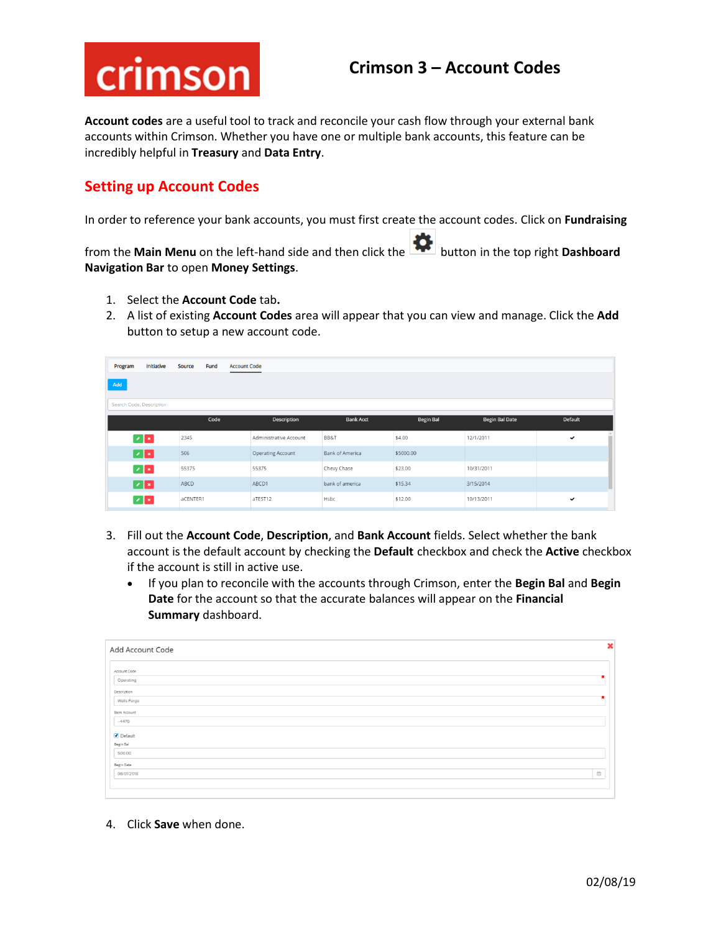# crimson

## **Crimson 3 – Account Codes**

**Account codes** are a useful tool to track and reconcile your cash flow through your external bank accounts within Crimson. Whether you have one or multiple bank accounts, this feature can be incredibly helpful in **Treasury** and **Data Entry**.

## **Setting up Account Codes**

In order to reference your bank accounts, you must first create the account codes. Click on **Fundraising**

from the **Main Menu** on the left-hand side and then click the button in the top right **Dashboard Navigation Bar** to open **Money Settings**.

- 1. Select the **Account Code** tab**.**
- 2. A list of existing **Account Codes** area will appear that you can view and manage. Click the **Add** button to setup a new account code.

| Program                   | Initiative | <b>Source</b><br>Fund | <b>Account Code</b> |                          |                        |                  |                |                |
|---------------------------|------------|-----------------------|---------------------|--------------------------|------------------------|------------------|----------------|----------------|
| Add                       |            |                       |                     |                          |                        |                  |                |                |
| Search Code, Description  |            |                       |                     |                          |                        |                  |                |                |
|                           |            |                       |                     |                          |                        |                  |                |                |
|                           |            | Code                  |                     | Description              | <b>Bank Acct</b>       | <b>Begin Bal</b> | Begin Bal Date | <b>Default</b> |
| $\mathbb{Z}[\mathbf{x}]$  |            | 2345                  |                     | Administrative Account   | BB&T                   | \$4.00           | 12/1/2011      | $\checkmark$   |
| $\mathbb{Z}[\mathbf{x}]$  |            | 506                   |                     | <b>Operating Account</b> | <b>Bank of America</b> | \$5000.00        |                |                |
| $\mathbf{z}$ $\mathbf{x}$ |            | 55375                 |                     | 55375                    | Chevy Chase            | \$23.00          | 10/31/2011     |                |
| $\blacksquare$            |            | ABCD                  |                     | ABCD1                    | bank of america        | \$15.34          | 3/15/2014      |                |
| $ z $ x                   |            | aCENTER1              |                     | aTEST12                  | Hsbc                   | \$12.00          | 10/13/2011     | $\checkmark$   |

- 3. Fill out the **Account Code**, **Description**, and **Bank Account** fields. Select whether the bank account is the default account by checking the **Default** checkbox and check the **Active** checkbox if the account is still in active use.
	- If you plan to reconcile with the accounts through Crimson, enter the **Begin Bal** and **Begin Date** for the account so that the accurate balances will appear on the **Financial Summary** dashboard.

| Add Account Code |                                             |
|------------------|---------------------------------------------|
| Account Code     |                                             |
| Operating        |                                             |
| Description      |                                             |
| Wells Fargo      |                                             |
| Bank Account     |                                             |
| $-4470$          |                                             |
| Default          |                                             |
| Begin Bal        |                                             |
| 500.00           |                                             |
| Begin Date       |                                             |
| 08/01/2018       | $\mathop{=}^{\mathop{\mathrm{m}}\nolimits}$ |
|                  |                                             |

4. Click **Save** when done.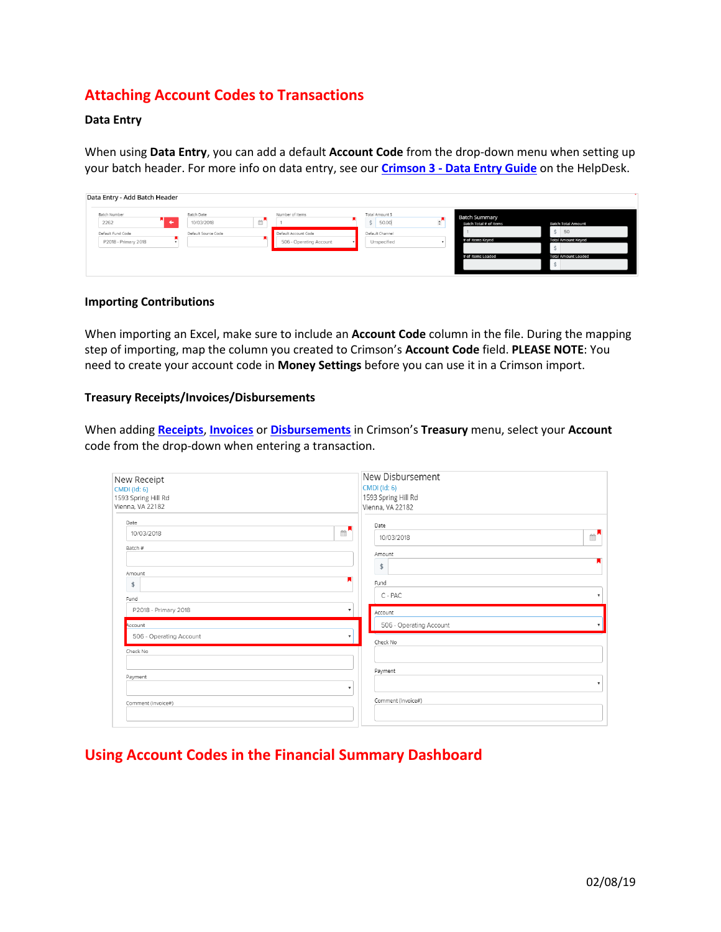## **Attaching Account Codes to Transactions**

#### **Data Entry**

When using **Data Entry**, you can add a default **Account Code** from the drop-down menu when setting up your batch header. For more info on data entry, see our **Crimson 3 - [Data Entry Guide](https://support.cmdi.com/hc/en-us/articles/360019727951-Crimson-3-Contributions-Data-Entry)** on the HelpDesk.

| Data Entry - Add Batch Header              |                                 |                |                                                 |                                |                                                |                                       |
|--------------------------------------------|---------------------------------|----------------|-------------------------------------------------|--------------------------------|------------------------------------------------|---------------------------------------|
| Batch Number<br><b>START START</b><br>2262 | <b>Batch Date</b><br>10/03/2018 | $\mathbb{R}^n$ | Number of Items                                 | Total Amount \$<br>\$ 50.00    | <b>Batch Summary</b><br>Batch Total # of Items | <b>Batch Total Amount</b>             |
| Default Fund Code<br>P2018 - Primary 2018  | Default Source Code             |                | Default Account Code<br>506 - Operating Account | Default Channel<br>Unspecified | # of Items Keyed                               | S.<br>50<br><b>Total Amount Keyed</b> |
|                                            |                                 |                |                                                 |                                | # of Items Loaded                              | <b>Total Amount Loaded</b>            |

#### **Importing Contributions**

When importing an Excel, make sure to include an **Account Code** column in the file. During the mapping step of importing, map the column you created to Crimson's **Account Code** field. **PLEASE NOTE**: You need to create your account code in **Money Settings** before you can use it in a Crimson import.

#### **Treasury Receipts/Invoices/Disbursements**

When adding **[Receipts](https://support.cmdi.com/hc/en-us/articles/360018591652-Crimson-3-Treasury-Receipts-Data-Entry)**, **[Invoices](https://support.cmdi.com/hc/en-us/articles/360022545631-Crimson-3-Financial-Summary-Invoices-and-Payments)** or **[Disbursements](https://support.cmdi.com/hc/en-us/articles/360017864512-Crimson-3-Expenditures-Data-Entry)** in Crimson's **Treasury** menu, select your **Account** code from the drop-down when entering a transaction.

| New Receipt<br>CMDI (Id: 6)<br>1593 Spring Hill Rd<br>Vienna, VA 22182 | New Disbursement<br><b>CMDI</b> (Id: 6)<br>1593 Spring Hill Rd<br>Vienna, VA 22182 |
|------------------------------------------------------------------------|------------------------------------------------------------------------------------|
| Date<br>$\mathbb{R}^{\mathsf{N}}$<br>10/03/2018<br>Batch #             | Date<br>$\mathbb{R}^{\mathbf{N}}$<br>10/03/2018<br>Amount                          |
| Amount<br>\$<br>Fund<br>P2018 - Primary 2018<br>▼                      | \$<br>Fund<br>C - PAC<br>Account                                                   |
| Account<br>506 - Operating Account                                     | 506 - Operating Account<br>Check No                                                |
| Check No<br>Payment<br>$\mathbf{r}$                                    | Payment<br>$\mathbf{v}$                                                            |
| Comment (Invoice#)                                                     | Comment (Invoice#)                                                                 |

## **Using Account Codes in the Financial Summary Dashboard**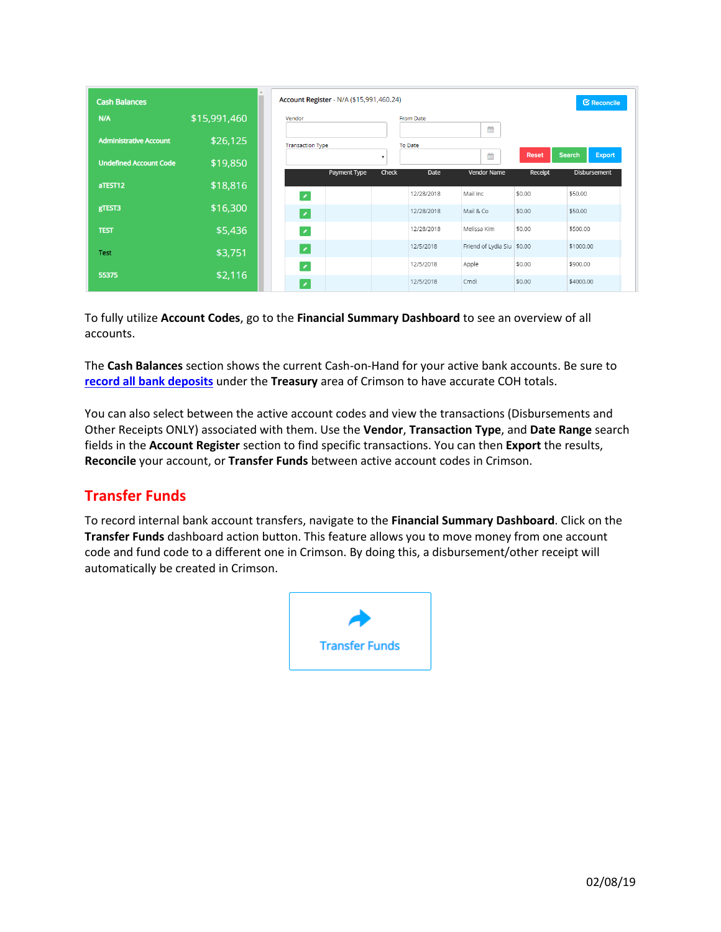| <b>Cash Balances</b>          |              |
|-------------------------------|--------------|
| N/A                           | \$15,991,460 |
| <b>Administrative Account</b> | \$26,125     |
| <b>Undefined Account Code</b> | \$19,850     |
|                               |              |
| aTEST12                       | \$18,816     |
| gTEST3                        | \$16,300     |
| <b>TEST</b>                   | \$5,436      |
| <b>Test</b>                   | \$3,751      |
| 55375                         |              |
|                               | \$2,116      |

To fully utilize **Account Codes**, go to the **Financial Summary Dashboard** to see an overview of all accounts.

The **Cash Balances** section shows the current Cash-on-Hand for your active bank accounts. Be sure to **[record all bank deposits](https://support.cmdi.com/hc/en-us/articles/208653896-Crimson-Treasury-Entering-Deposits)** under the **Treasury** area of Crimson to have accurate COH totals.

You can also select between the active account codes and view the transactions (Disbursements and Other Receipts ONLY) associated with them. Use the **Vendor**, **Transaction Type**, and **Date Range** search fields in the **Account Register** section to find specific transactions. You can then **Export** the results, **Reconcile** your account, or **Transfer Funds** between active account codes in Crimson.

## **Transfer Funds**

To record internal bank account transfers, navigate to the **Financial Summary Dashboard**. Click on the **Transfer Funds** dashboard action button. This feature allows you to move money from one account code and fund code to a different one in Crimson. By doing this, a disbursement/other receipt will automatically be created in Crimson.